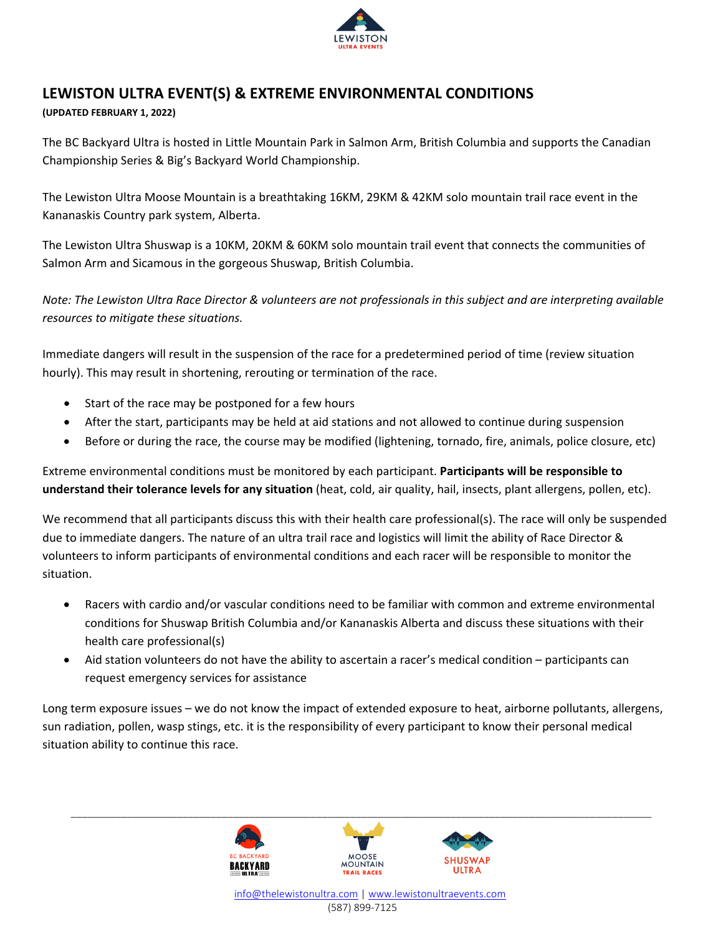

## **LEWISTON ULTRA EVENT(S) & EXTREME ENVIRONMENTAL CONDITIONS**

## **(UPDATED FEBRUARY 1, 2022)**

The BC Backyard Ultra is hosted in Little Mountain Park in Salmon Arm, British Columbia and supports the Canadian Championship Series & Big's Backyard World Championship.

The Lewiston Ultra Moose Mountain is a breathtaking 16KM, 29KM & 42KM solo mountain trail race event in the Kananaskis Country park system, Alberta.

The Lewiston Ultra Shuswap is a 10KM, 20KM & 60KM solo mountain trail event that connects the communities of Salmon Arm and Sicamous in the gorgeous Shuswap, British Columbia.

*Note: The Lewiston Ultra Race Director & volunteers are not professionals in this subject and are interpreting available resources to mitigate these situations.*

Immediate dangers will result in the suspension of the race for a predetermined period of time (review situation hourly). This may result in shortening, rerouting or termination of the race.

- Start of the race may be postponed for a few hours
- After the start, participants may be held at aid stations and not allowed to continue during suspension
- Before or during the race, the course may be modified (lightening, tornado, fire, animals, police closure, etc)

Extreme environmental conditions must be monitored by each participant. **Participants will be responsible to understand their tolerance levels for any situation** (heat, cold, air quality, hail, insects, plant allergens, pollen, etc).

We recommend that all participants discuss this with their health care professional(s). The race will only be suspended due to immediate dangers. The nature of an ultra trail race and logistics will limit the ability of Race Director & volunteers to inform participants of environmental conditions and each racer will be responsible to monitor the situation.

- Racers with cardio and/or vascular conditions need to be familiar with common and extreme environmental conditions for Shuswap British Columbia and/or Kananaskis Alberta and discuss these situations with their health care professional(s)
- Aid station volunteers do not have the ability to ascertain a racer's medical condition participants can request emergency services for assistance

Long term exposure issues – we do not know the impact of extended exposure to heat, airborne pollutants, allergens, sun radiation, pollen, wasp stings, etc. it is the responsibility of every participant to know their personal medical situation ability to continue this race.